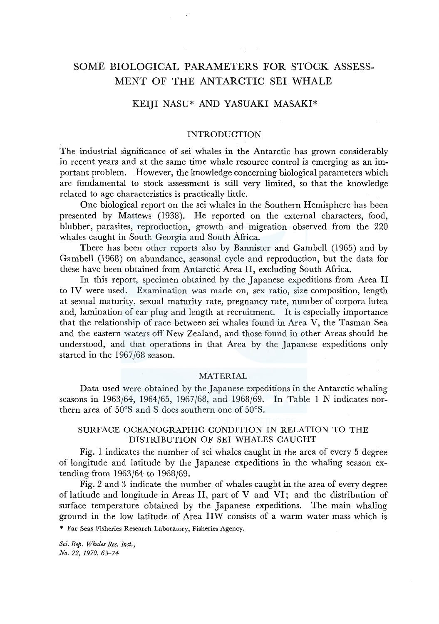# SOME BIOLOGICAL PARAMETERS FOR STOCK ASSESS-MENT OF THE ANTARCTIC SEI WHALE

# KEIJI NASU\* AND YASUAKI MASAKI\*

## INTRODUCTION

The industrial significance of sei whales in the Antarctic has grown considerably in recent years and at the same time whale resource control is emerging as an important problem. However, the knowledge concerning biological parameters which are fundamental to stock assessment is still very limited, so that the knowledge related to age characteristics is practically little.

One biological report on the sei whales in the Southern Hemisphere has been presented by Mattews (1938). He reported on the external characters, food, blubber, parasites, reproduction, growth and migration observed from the 220 whales caught in South Georgia and South Africa.

There has been other reports also by Bannister and Gambell (1965) and by Gambell (1968) on abundance, seasonal cycle and reproduction, but the data for these have been obtained from Antarctic Area II, excluding South Africa.

In this report, specimen obtained by the Japanese expeditions from Area II to IV were used. Examination was made on, sex ratio, size composition, length at sexual maturity, sexual maturity rate, pregnancy rate, number of corpora lutea and, lamination of ear plug and length at recruitment. It is especially importance that the relationship of race between sei whales found in Area V, the Tasman Sea and the eastern waters off New Zealand, and those found in other Areas should be understood, and that operations in that Area by the Japanese expeditions only started in the 1967/68 season.

#### MATERIAL

Data used were obtained by the Japanese expeditions in the Antarctic whaling seasons in 1963/64, 1964/65, 1967/68, and 1968/69. In Table 1 N indicates northern area of 50°S and S does southern one of 50°S.

# SURFACE OCEANOGRAPHIC CONDITION IN RELATION TO THE DISTRIBUTION OF SEI WHALES CAUGHT

Fig. 1 indicates the number of sei whales caught in the area of every 5 degree of longitude and latitude by the Japanese expeditions in the whaling season extending from 1963/64 to 1968/69.

Fig. 2 and 3 indicate the number of whales caught in the area of every degree of latitude and longitude in Areas II, part of V and VI; and the distribution of surface temperature obtained by the Japanese expeditions. The main whaling ground in the low latitude of Area IIW consists of a warm water mass which is

\* Far Seas Fisheries Research Laboratory, Fisheries Agency.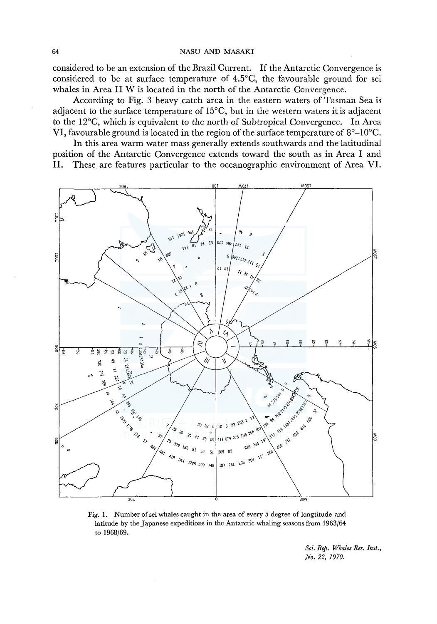considered to be an extension of the Brazil Current. If the Antarctic Convergence is considered to be at surface temperature of 4.5°C, the favourable ground for sei whales in Area II W is located in the north of the Antarctic Convergence.

According to Fig. 3 heavy catch area in the eastern waters of Tasman Sea is adjacent to the surface temperature of  $15^{\circ}$ C, but in the western waters it is adjacent to the l2°C, which is equivalent to the north of Subtropical Convergence. In Area VI, favourable ground is located in the region of the surface temperature of  $8^{\circ}$ –10 $^{\circ}$ C.

In this area warm water mass generally extends southwards and the latitudinal position of the Antarctic Convergence extends toward the south as in Area I and II. These are features particular to the oceanographic environment of Area VI.



Fig. 1. Number of sei whales caught in the area of every 5 degree of longtitude and latitude by the Japanese expeditions in the Antarctic whaling seasons from 1963/64 to 1968/69.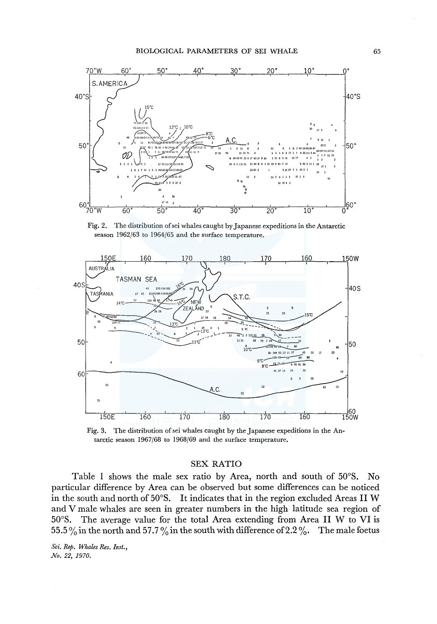

Fig. 2. The distribution ofsei whales caught by Japanese expeditions in the Antarctic season 1962/63 to 1964/65 and the surface temperature.



Fig. 3. The distribution of sei whales caught by the Japanese expeditions in the Antarctic season 1967/68 to 1968/69 and the surface temperature.

#### SEX RATIO

Table I shows the male sex ratio by Area, north and south of 50°S. No particular difference by Area can be observed but some differences can be noticed in the south and north of 50°S. It indicates that in the region excluded Areas II W and V male whales are seen in greater numbers in the high latitude sea region of 50°S. The average value for the total Area extending from Area II W to VI is 55.5% in the north and 57.7% in the south with difference of 2.2%. The male foetus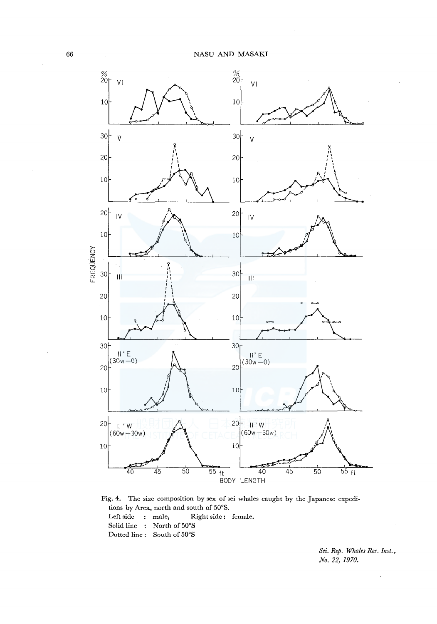

Fig. 4. The size composition by sex of sei whales caught by the Japanese expeditions by Area, north and south of 50°S. Left side : male, Right side: female. Solid line : North of 50°S Dotted line: South of 50°S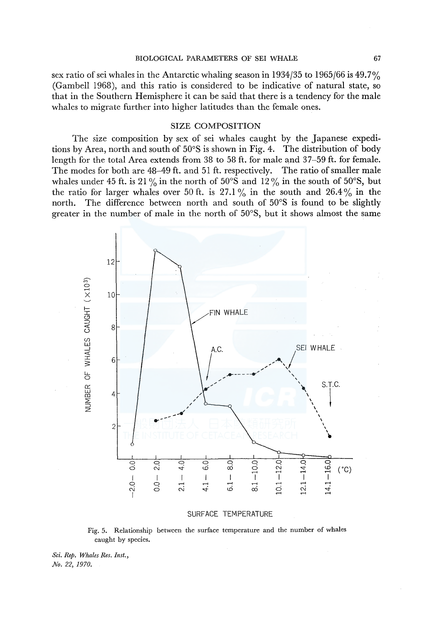#### BIOLOGICAL PARAMETERS OF SEI WHALE 67

sex ratio of sei whales in the Antarctic whaling season in  $1934/35$  to  $1965/66$  is  $49.7\%$ (Gambell 1968), and this ratio is considered to be indicative of natural state, so that in the Southern Hemisphere it can be said that there is a tendency for the male whales to migrate further into higher latitudes than the female ones.

#### SIZE COMPOSITION

The size composition by sex of sei whales caught by the Japanese expeditions by Area, north and south of 50°S is shown in Fig. 4. The distribution of body length for the total Area extends from 38 to 58 ft. for male and 37-59 ft. for female. The modes for both are 48-49 ft. and 51 ft. respectively. The ratio of smaller male whales under 45 ft. is 21% in the north of 50°S and 12% in the south of 50°S, but the ratio for larger whales over 50 ft. is 27.1% in the south and 26.4% in the north. The difference between north and south of 50°S is found to be slightly greater in the number of male in the north of 50°S, but it shows almost the same



SURFACE TEMPERATURE

Fig. 5. Relationship between the surface temperature and the number of whales caught by species.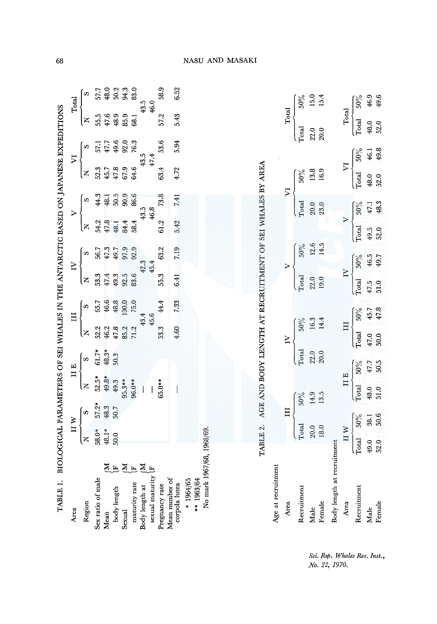| TABLE 1. BIOLOGICAL PARAMETERS OF SEI WHALES IN THE ANTARCTIC BASED ON JAPANESE EXPEDITIONS<br>Area |                                                                   | $\mathbf{I}$ W |                          | II E   |        | Ξ      |                         | $\geq$ |       | $\triangleright$ |                            | $\overline{V}$ |       | Total                  |
|-----------------------------------------------------------------------------------------------------|-------------------------------------------------------------------|----------------|--------------------------|--------|--------|--------|-------------------------|--------|-------|------------------|----------------------------|----------------|-------|------------------------|
| Region                                                                                              | Z                                                                 | S              | $\overline{z}$           | U)     | z      | S      | Z                       | S      |       | S                | Z                          | S,             | Z     | $\boldsymbol{\varphi}$ |
| Sex ratio of male                                                                                   | 58.0*                                                             | $57.2*$        | $52.5*$                  |        | 52.2   | 65.7   | 53.3                    | 56.7   | 54.2  | 44.3             | 52.3                       | 57.1           | 55.5  | 57.7                   |
| Mean                                                                                                | 48.1*                                                             | 48.3           | 49.8*                    | 48.3*  | 46.2   | 46.6   | 47.4                    | 47.3   | 47.8  | 48.1             | 45.7                       | 47.7           | 47.6  | 48.0                   |
| EE<br>body length                                                                                   | 50.0                                                              | 50.7           | 49.3                     | 50.3   | 47.8   | 48.8   | 49.3                    | 49.7   | 48.1  | 50.5             | 47.8                       | 49.6           | 48.9  | 50.2                   |
| EE<br>Sexual                                                                                        |                                                                   |                | $95.3**$                 |        | 85.2   | 100.0  | 92.5                    | 97.9   | 84.4  | 90.9             | 67.9                       | 92.0           | 85.9  | 94.3                   |
| maturity rate                                                                                       |                                                                   |                | 96.0**                   |        | 71.2   | 75.0   | 83.6                    | 92.9   | 58.4  | 86.6             | 64.6                       | 76.3           | 68.1  | 83.0                   |
| $\overline{M}$<br>Body length at                                                                    |                                                                   |                |                          |        |        | 43.4   |                         | 42.3   |       | 43.5             |                            | 43.5           |       | 43.5                   |
| sexual maturity [F                                                                                  |                                                                   |                |                          |        |        | 45.6   |                         | 45.4   |       | 46.8             |                            | 47.4           |       | 46.0                   |
| Pregnancy rate                                                                                      |                                                                   |                | $65.0**$                 |        | 53.3   | 44.4   | 55.3                    | 63.2   | 61.2  | 73.8             | 63.4                       | 53.6           | 57.2  | 58.9                   |
| Mean number of<br>corpola lutea                                                                     |                                                                   |                | $\overline{\phantom{a}}$ |        | 4.60   | 7.33   | 6.41                    | 7.19   | 5.42  | 7.41             | 4.72                       | 5.94           | 5.43  | 6.52                   |
| * 1964/65                                                                                           |                                                                   |                |                          |        |        |        |                         |        |       |                  |                            |                |       |                        |
| ** 1963/64                                                                                          |                                                                   |                |                          |        |        |        |                         |        |       |                  |                            |                |       |                        |
| No mark 1967/68, 1968/69.                                                                           |                                                                   |                |                          |        |        |        |                         |        |       |                  |                            |                |       |                        |
|                                                                                                     |                                                                   |                |                          |        |        |        |                         |        |       |                  |                            |                |       |                        |
|                                                                                                     |                                                                   |                |                          |        |        |        |                         |        |       |                  |                            |                |       |                        |
|                                                                                                     |                                                                   |                |                          |        |        |        |                         |        |       |                  |                            |                |       |                        |
|                                                                                                     | TABLE 2. AGE AND BODY LENGTH AT RECRUITMENT OF SEI WHALES BY AREA |                |                          |        |        |        |                         |        |       |                  |                            |                |       |                        |
| Age at recruitment                                                                                  |                                                                   |                |                          |        |        |        |                         |        |       |                  |                            |                |       |                        |
| Area                                                                                                |                                                                   | $\Xi$          |                          |        | $\geq$ |        |                         |        |       |                  | $\overline{\triangledown}$ |                | Total |                        |
| Recruitment                                                                                         | Total                                                             |                | $200\%$                  | Total  |        | $50\%$ | Total                   | 50%    |       | Total            | $50\%$                     |                | Total | $50\%$                 |
| Male                                                                                                | 20.0                                                              |                | 14.9                     | 22.0   |        | 16.3   | 22.0                    | 12.6   |       | 20.0             | 13.8                       |                | 22.0  | 15.0                   |
| Female                                                                                              | 18.0                                                              |                | 13.5                     | 20.0   |        | 14.4   | 19.0                    | 14.5   |       | 23.0             | 16.9                       |                | 20.0  | 15.4                   |
| Body length at recruitment                                                                          |                                                                   |                |                          |        |        |        |                         |        |       |                  |                            |                |       |                        |
| Area                                                                                                | II W                                                              |                | II E                     |        | Щ      |        | $\overline{\mathbf{N}}$ |        |       | $\triangleright$ | $\nabla$                   |                | Total |                        |
| Recruitment                                                                                         | Total                                                             | $50\%$         | Total                    | $50\%$ | Total  | $50\%$ | Total                   | 50%    | Total | $50\%$           | Total                      | $200\%$        | Total | $50\%$                 |
| Male                                                                                                | 49.0                                                              | 38.1           | 48.0                     | 47.7   | 47.0   | 45.7   | 47.5                    | 46.5   | 49.5  | 47.1             | 48.0                       | 46.1           | 48.0  | 46.9                   |
| Female                                                                                              | $52.0 -$                                                          | 50.6           | 51.0                     | 50.5   | 50.0   | 47.8   | 51.0                    | 49.7   | 52.0  | 48.3             | 52.0                       | 49.8           | 52.0  | 49.6                   |

Sci. Rep. Whales Res. Inst., No. 22, 1970.

NASU AND MASAKI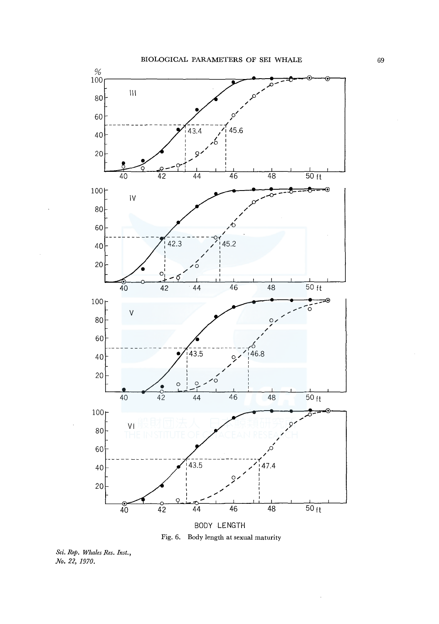

Fig. 6. Body length at sexual maturity

Sci. Rep. Whales Res. Inst., No. 22, 1970.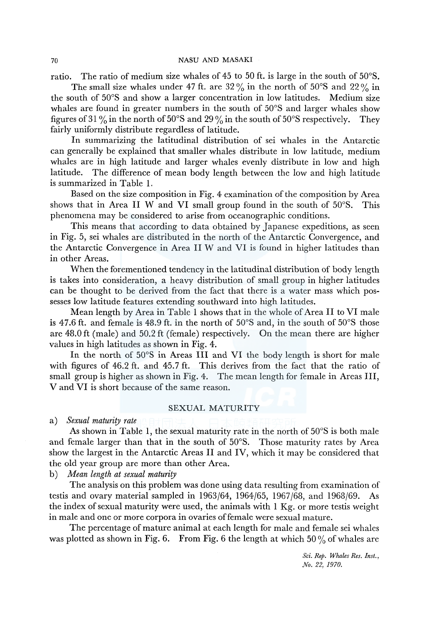ratio. The ratio of medium size whales of 45 to 50 ft. is large in the south of 50°S.

The small size whales under 47 ft. are  $32\%$  in the north of  $50^{\circ}$ S and  $22\%$  in the south of 50°S and show a larger concentration in low latitudes. Medium size whales are found in greater numbers in the south of 50°S and larger whales show figures of 31 % in the north of 50°S and 29% in the south of 50°S respectively. They fairly uniformly distribute regardless of latitude.

In summarizing the latitudinal distribution of sei whales in the Antarctic can generally be explained that smaller whales distribute in low latitude, medium whales are in high latitude and larger whales evenly distribute in low and high latitude. The difference of mean body length between the low and high latitude is summarized in Table 1.

Based on the size composition in Fig. 4 examination of the composition by Area shows that in Area II W and VI small group found in the south of 50°S. This phenomena may be considered to arise from oceanographic conditions.

This means that according to data obtained by Japanese expeditions, as seen in Fig. 5, sei whales are distributed in the north of the Antarctic Convergence, and the Antarctic Convergence in Area II W and VI is found in higher latitudes than in other Areas.

When the forementioned tendency in the latitudinal distribution of body length is takes into consideration, a heavy distribution of small group in higher latitudes can be thought to be derived from the fact that there is a water mass which possesses low latitude features extending southward into high latitudes.

Mean length by Area in Table 1 shows that in the whole of Area II to VI male is 47.6 ft. and female is 48.9 ft. in the north of  $50^{\circ}$ S and, in the south of  $50^{\circ}$ S those are 48.0 ft (male) and 50.2 ft (female) respectively. On the mean there are higher values in high latitudes as shown in Fig. 4.

In the north of 50°S in Areas III and VI the body length is short for male with figures of 46.2 ft. and 45.7 ft. This derives from the fact that the ratio of small group is higher as shown in Fig. 4. The mean length for female in Areas III, V and VI is short because of the same reason.

#### SEXUAL MATURITY

a) *Sexual maturity rate* 

As shown in Table 1, the sexual maturity rate in the north of 50°S is both male and female larger than that in the south of 50°S. Those maturity rates by Area show the largest in the Antarctic Areas II and IV, which it may be considered that the old year group are more than other Area.

b) *Mean length at sexual maturity* 

The analysis on this problem was done using data resulting from examination of testis and ovary material sampled in 1963/64, 1964/65, 1967/68, and 1968/69. As the index of sexual maturity were used, the animals with 1 Kg. or more testis weight in male and one or more corpora in ovaries of female were sexual mature.

The percentage of mature animal at each length for male and female sei whales was plotted as shown in Fig. 6. From Fig. 6 the length at which  $50\%$  of whales are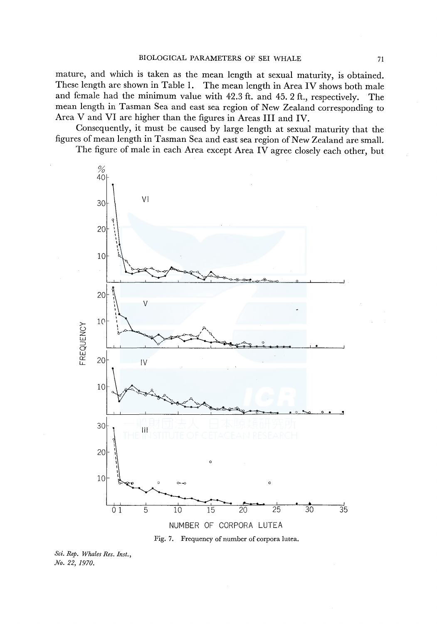mature, and which is taken as the mean length at sexual maturity, is obtained. These length are shown in Table 1. The mean length in Area IV shows both male and female had the minimum value with 42.3 ft. and 45. 2 ft., respectively. The mean length in Tasman Sea and east sea region of New Zealand corresponding to Area V and VI are higher than the figures in Areas III and IV.

Consequently, it must be caused by large length at sexual maturity that the figures of mean length in Tasman Sea and east sea region of New Zealand are small. The figure of male in each Area except Area IV agree closely each other, but





Sci. Rep. Whales Res. Inst., No. 22, 1970.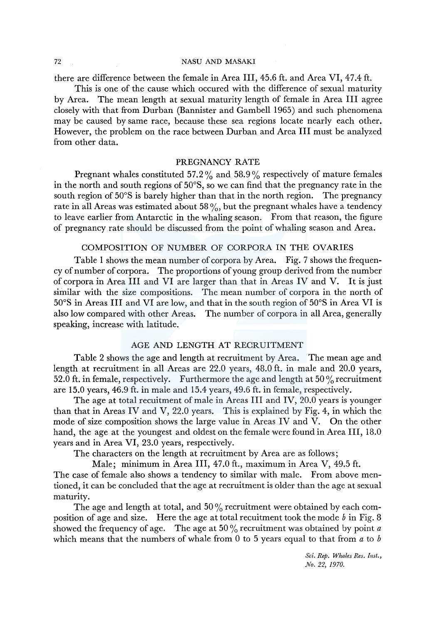#### 72 NASU AND MASAKI

there are difference between the female in Area III, 45.6 ft. and Area VI, 47.4 ft.

This is one of the cause which occured with the difference of sexual maturity by Area. The mean length at sexual maturity length of female in Area III agree closely with that from Durban (Bannister and Gambell 1965) and such phenomena may be caused by same race, because these sea regions locate nearly each other. However, the problem on the race between Durban and Area III must be analyzed from other data.

### PREGNANCY RATE

Pregnant whales constituted 57.2 % and 58.9 % respectively of mature females in the north and south regions of 50°S, so we can find that the pregnancy rate in the south region of 50°S is barely higher than that in the north region. The pregnancy rate in all Areas was estimated about 58 $\%$ , but the pregnant whales have a tendency to leave earlier from Antarctic in the whaling season. From that reason, the figure of pregnancy rate should be discussed from the point of whaling season and Area.

#### COMPOSITION OF NUMBER OF CORPORA IN THE OVARIES

Table 1 shows the mean number of corpora by Area. Fig. 7 shows the frequency of number of corpora. The proportions of young group derived from the number of corpora in Area III and VI are larger than that in Areas IV and V. It is just similar with the size compositions. The mean number of corpora in the north of 50°S in Areas III and VI are low, and that in the south region of 50°S in Area VI is also low compared with other Areas. The number of corpora in all Area, generally speaking, increase with latitude.

# AGE AND LENGTH AT RECRUITMENT

Table 2 shows the age and length at recruitment by Area. The mean age and length at recruitment in all Areas are 22.0 years, 48.0 ft. in male and 20.0 years, 52.0 ft. in female, respectively. Furthermore the age and length at 50 % recruitment are 15.0 years, 46.9 ft. in male and 15.4 years, 49.6 ft. in female, respectively.

The age at total recuitment of male in Areas III and IV, 20.0 years is younger than that in Areas IV and V, 22.0 years. This is explained by Fig. 4, in which the mode of size composition shows the large value in Areas IV and V. On the other hand, the age at the youngest and oldest on the female were found in Area III, 18.0 years and in Area VI, 23.0 years, respectively.

The characters on the length at recruitment by Area are as follows;

Male; minimum in Area III, 47.0 ft., maximum in Area V, 49.5 ft. The case of female also shows a tendency to similar with male. From above mentioned, it can be concluded that the age at recruitment is older than the age at sexual maturity.

The age and length at total, and  $50\%$  recruitment were obtained by each composition of age and size. Here the age at total recuitment took the mode *b* in Fig. 8 showed the frequency of age. The age at 50 % recruitment was obtained by point *a*  which means that the numbers of whale from 0 to 5 years equal to that from a to *b*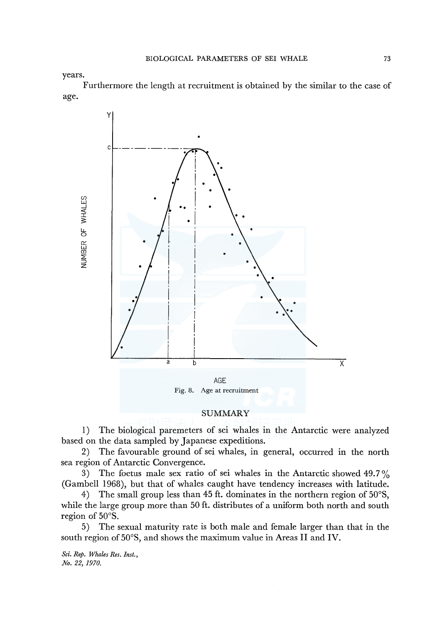years.

Furthermore the length at recruitment is obtained by the similar to the case of age.



# SUMMARY

1) The biological paremeters of sei whales in the Antarctic were analyzed based on the data sampled by Japanese expeditions.

2) The favourable ground of sei whales, in general, occurred in the north sea region of Antarctic Convergence.

3) The foetus male sex ratio of sei whales in the Antarctic showed  $49.7\%$ (Gambell 1968), but that of whales caught have tendency increases with latitude.

4) The small group less than 45 ft. dominates in the northern region of 50°S, while the large group more than 50 ft. distributes of a uniform both north and south region of 50°S.

5) The sexual maturity rate is both male and female larger than that in the south region of 50°S, and shows the maximum value in Areas II and IV.